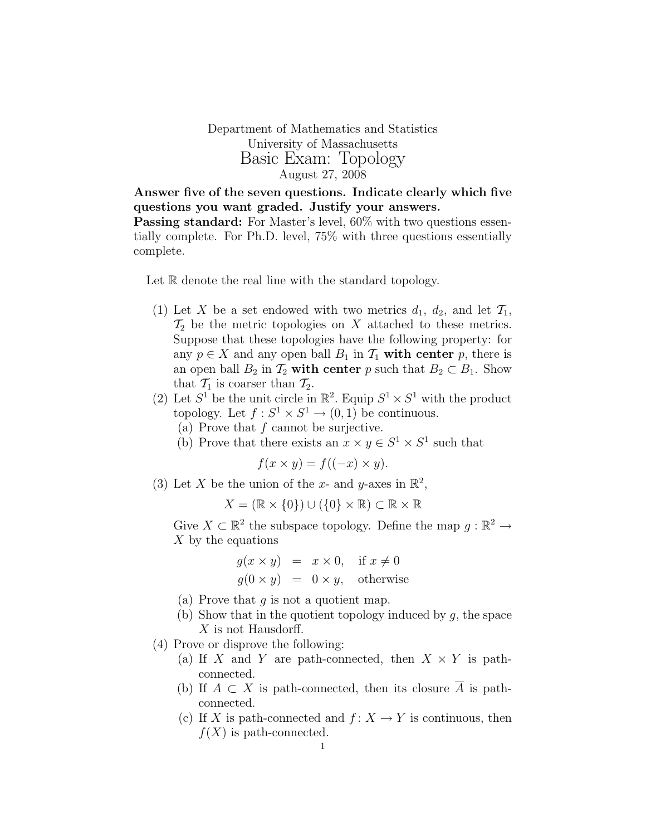Department of Mathematics and Statistics University of Massachusetts Basic Exam: Topology August 27, 2008

Answer five of the seven questions. Indicate clearly which five questions you want graded. Justify your answers. **Passing standard:** For Master's level,  $60\%$  with two questions essentially complete. For Ph.D. level, 75% with three questions essentially complete.

Let R denote the real line with the standard topology.

- (1) Let X be a set endowed with two metrics  $d_1, d_2$ , and let  $\mathcal{T}_1$ ,  $\mathcal{T}_2$  be the metric topologies on X attached to these metrics. Suppose that these topologies have the following property: for any  $p \in X$  and any open ball  $B_1$  in  $\mathcal{T}_1$  with center p, there is an open ball  $B_2$  in  $\mathcal{T}_2$  with center p such that  $B_2 \subset B_1$ . Show that  $\mathcal{T}_1$  is coarser than  $\mathcal{T}_2$ .
- (2) Let  $S^1$  be the unit circle in  $\mathbb{R}^2$ . Equip  $S^1 \times S^1$  with the product topology. Let  $f: S^1 \times S^1 \to (0, 1)$  be continuous.
	- (a) Prove that  $f$  cannot be surjective.
	- (b) Prove that there exists an  $x \times y \in S^1 \times S^1$  such that

$$
f(x \times y) = f((-x) \times y).
$$

(3) Let X be the union of the x- and y-axes in  $\mathbb{R}^2$ ,

 $X = (\mathbb{R} \times \{0\}) \cup (\{0\} \times \mathbb{R}) \subset \mathbb{R} \times \mathbb{R}$ 

Give  $X \subset \mathbb{R}^2$  the subspace topology. Define the map  $g : \mathbb{R}^2 \to$ X by the equations

$$
g(x \times y) = x \times 0, \text{ if } x \neq 0
$$
  

$$
g(0 \times y) = 0 \times y, \text{ otherwise}
$$

- (a) Prove that  $q$  is not a quotient map.
- (b) Show that in the quotient topology induced by  $g$ , the space X is not Hausdorff.

(4) Prove or disprove the following:

- (a) If X and Y are path-connected, then  $X \times Y$  is pathconnected.
- (b) If  $A \subset X$  is path-connected, then its closure  $\overline{A}$  is pathconnected.
- (c) If X is path-connected and  $f: X \to Y$  is continuous, then  $f(X)$  is path-connected.